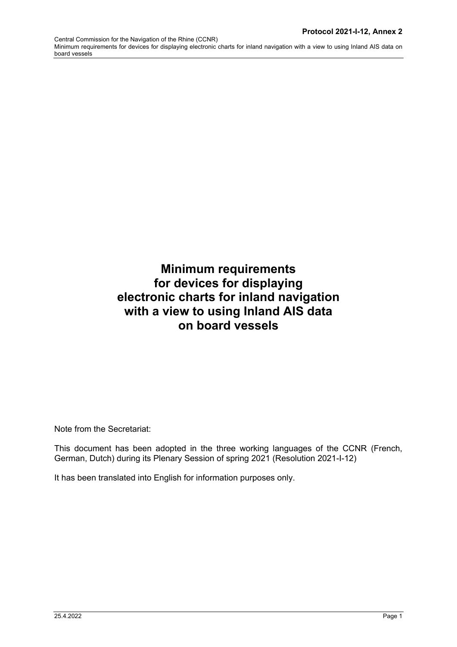# **Minimum requirements for devices for displaying electronic charts for inland navigation with a view to using Inland AIS data on board vessels**

Note from the Secretariat:

This document has been adopted in the three working languages of the CCNR (French, German, Dutch) during its Plenary Session of spring 2021 (Resolution 2021-I-12)

It has been translated into English for information purposes only.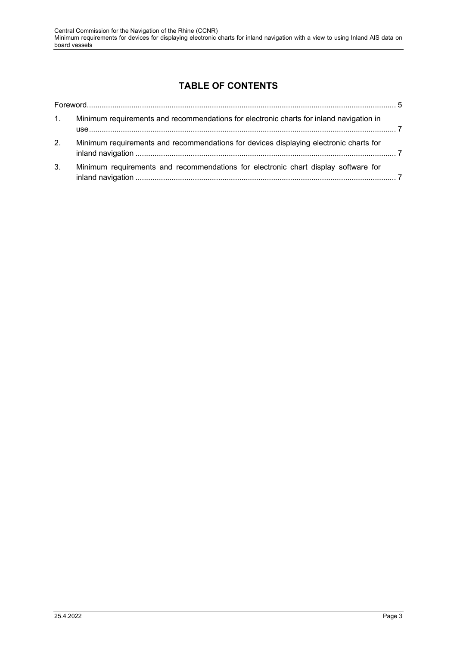# **TABLE OF CONTENTS**

| 1 <sub>1</sub> | Minimum requirements and recommendations for electronic charts for inland navigation in |  |
|----------------|-----------------------------------------------------------------------------------------|--|
| 2 <sub>1</sub> | Minimum requirements and recommendations for devices displaying electronic charts for   |  |
| 3.             | Minimum requirements and recommendations for electronic chart display software for      |  |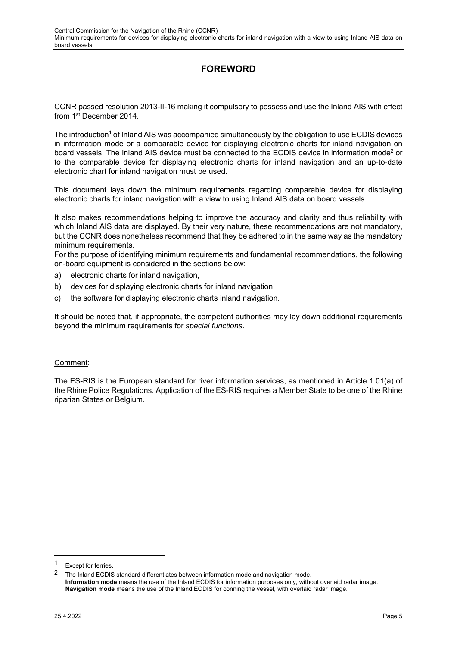## **FOREWORD**

CCNR passed resolution 2013-II-16 making it compulsory to possess and use the Inland AIS with effect from 1st December 2014.

The introduction<sup>1</sup> of Inland AIS was accompanied simultaneously by the obligation to use ECDIS devices in information mode or a comparable device for displaying electronic charts for inland navigation on board vessels. The Inland AIS device must be connected to the ECDIS device in information mode<sup>2</sup> or to the comparable device for displaying electronic charts for inland navigation and an up-to-date electronic chart for inland navigation must be used.

This document lays down the minimum requirements regarding comparable device for displaying electronic charts for inland navigation with a view to using Inland AIS data on board vessels.

It also makes recommendations helping to improve the accuracy and clarity and thus reliability with which Inland AIS data are displayed. By their very nature, these recommendations are not mandatory, but the CCNR does nonetheless recommend that they be adhered to in the same way as the mandatory minimum requirements.

For the purpose of identifying minimum requirements and fundamental recommendations, the following on-board equipment is considered in the sections below:

- a) electronic charts for inland navigation,
- b) devices for displaying electronic charts for inland navigation,
- c) the software for displaying electronic charts inland navigation.

It should be noted that, if appropriate, the competent authorities may lay down additional requirements beyond the minimum requirements for *special functions*.

#### Comment:

The ES-RIS is the European standard for river information services, as mentioned in Article 1.01(a) of the Rhine Police Regulations. Application of the ES-RIS requires a Member State to be one of the Rhine riparian States or Belgium.

<sup>1</sup> Except for ferries.

<sup>2</sup> The Inland ECDIS standard differentiates between information mode and navigation mode. **Information mode** means the use of the Inland ECDIS for information purposes only, without overlaid radar image. **Navigation mode** means the use of the Inland ECDIS for conning the vessel, with overlaid radar image.